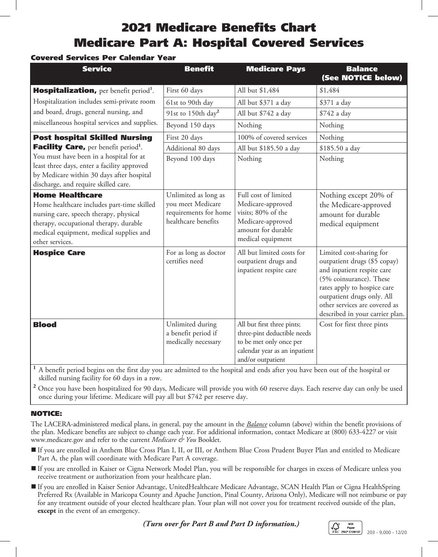# 2021 Medicare Benefits Chart Medicare Part A: Hospital Covered Services

## Covered Services Per Calendar Year

| <b>Service</b>                                                                                                                                                                                                                  | <b>Benefit</b>                                                                            | <b>Medicare Pays</b>                                                                                                                       | <b>Balance</b><br>(See NOTICE below)                                                                                                                                                                                                               |
|---------------------------------------------------------------------------------------------------------------------------------------------------------------------------------------------------------------------------------|-------------------------------------------------------------------------------------------|--------------------------------------------------------------------------------------------------------------------------------------------|----------------------------------------------------------------------------------------------------------------------------------------------------------------------------------------------------------------------------------------------------|
| <b>Hospitalization, per benefit period<sup>1</sup>.</b><br>Hospitalization includes semi-private room<br>and board, drugs, general nursing, and<br>miscellaneous hospital services and supplies.                                | First 60 days                                                                             | All but \$1,484                                                                                                                            | \$1,484                                                                                                                                                                                                                                            |
|                                                                                                                                                                                                                                 | 61st to 90th day                                                                          | All but \$371 a day                                                                                                                        | \$371 a day                                                                                                                                                                                                                                        |
|                                                                                                                                                                                                                                 | 91st to 150th day <sup>2</sup>                                                            | All but \$742 a day                                                                                                                        | \$742 a day                                                                                                                                                                                                                                        |
|                                                                                                                                                                                                                                 | Beyond 150 days                                                                           | Nothing                                                                                                                                    | Nothing                                                                                                                                                                                                                                            |
| <b>Post hospital Skilled Nursing</b>                                                                                                                                                                                            | First 20 days                                                                             | 100% of covered services                                                                                                                   | Nothing                                                                                                                                                                                                                                            |
| Facility Care, per benefit period <sup>1</sup> .<br>You must have been in a hospital for at<br>least three days, enter a facility approved<br>by Medicare within 30 days after hospital<br>discharge, and require skilled care. | Additional 80 days                                                                        | All but \$185.50 a day                                                                                                                     | \$185.50 a day                                                                                                                                                                                                                                     |
|                                                                                                                                                                                                                                 | Beyond 100 days                                                                           | Nothing                                                                                                                                    | Nothing                                                                                                                                                                                                                                            |
| <b>Home Healthcare</b><br>Home healthcare includes part-time skilled<br>nursing care, speech therapy, physical<br>therapy, occupational therapy, durable<br>medical equipment, medical supplies and<br>other services.          | Unlimited as long as<br>you meet Medicare<br>requirements for home<br>healthcare benefits | Full cost of limited<br>Medicare-approved<br>visits; 80% of the<br>Medicare-approved<br>amount for durable<br>medical equipment            | Nothing except 20% of<br>the Medicare-approved<br>amount for durable<br>medical equipment                                                                                                                                                          |
| <b>Hospice Care</b>                                                                                                                                                                                                             | For as long as doctor<br>certifies need                                                   | All but limited costs for<br>outpatient drugs and<br>inpatient respite care                                                                | Limited cost-sharing for<br>outpatient drugs (\$5 copay)<br>and inpatient respite care<br>(5% coinsurance). These<br>rates apply to hospice care<br>outpatient drugs only. All<br>other services are covered as<br>described in your carrier plan. |
| <b>Blood</b>                                                                                                                                                                                                                    | Unlimited during<br>a benefit period if<br>medically necessary                            | All but first three pints;<br>three-pint deductible needs<br>to be met only once per<br>calendar year as an inpatient<br>and/or outpatient | Cost for first three pints                                                                                                                                                                                                                         |

**<sup>1</sup>** A benefit period begins on the first day you are admitted to the hospital and ends after you have been out of the hospital or skilled nursing facility for 60 days in a row.

**2** Once you have been hospitalized for 90 days, Medicare will provide you with 60 reserve days. Each reserve day can only be used once during your lifetime. Medicare will pay all but \$742 per reserve day.

#### NOTICE:

The LACERA-administered medical plans, in general, pay the amount in the *Balance* column (above) within the benefit provisions of the plan. Medicare benefits are subject to change each year. For additional information, contact Medicare at (800) 633-4227 or visit www.medicare.gov and refer to the current *Medicare & You* Booklet.

- If you are enrolled in Anthem Blue Cross Plan I, II, or III, or Anthem Blue Cross Prudent Buyer Plan and entitled to Medicare Part A, the plan will coordinate with Medicare Part A coverage.
- If you are enrolled in Kaiser or Cigna Network Model Plan, you will be responsible for charges in excess of Medicare unless you receive treatment or authorization from your healthcare plan.
- If you are enrolled in Kaiser Senior Advantage, UnitedHealthcare Medicare Advantage, SCAN Health Plan or Cigna HealthSpring Preferred Rx (Available in Maricopa County and Apache Junction, Pinal County, Arizona Only), Medicare will not reimburse or pay for any treatment outside of your elected healthcare plan. Your plan will not cover you for treatment received outside of the plan, **except** in the event of an emergency.

*(Turn over for Part B and Part D information.)*